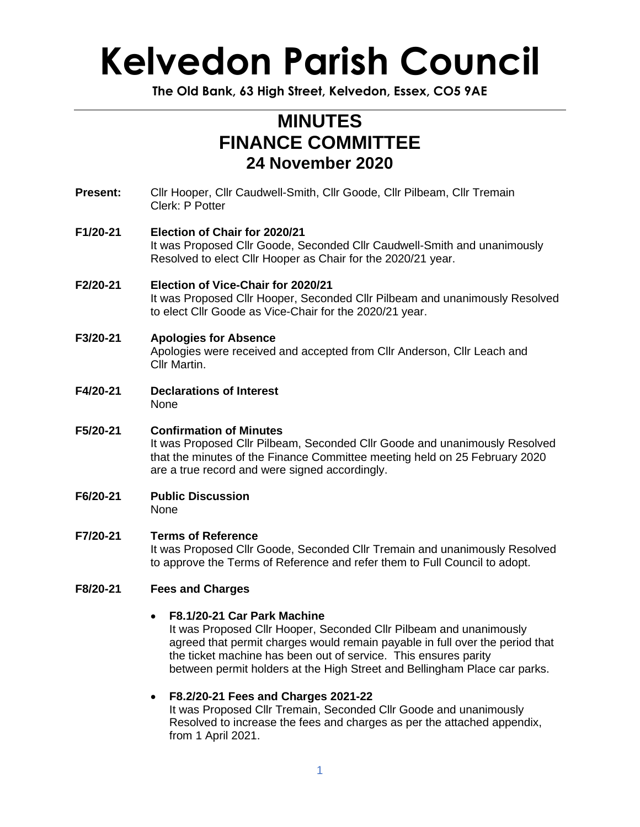**The Old Bank, 63 High Street, Kelvedon, Essex, CO5 9AE**

### **MINUTES FINANCE COMMITTEE 24 November 2020**

**Present:** Cllr Hooper, Cllr Caudwell-Smith, Cllr Goode, Cllr Pilbeam, Cllr Tremain Clerk: P Potter

#### **F1/20-21 Election of Chair for 2020/21** It was Proposed Cllr Goode, Seconded Cllr Caudwell-Smith and unanimously Resolved to elect Cllr Hooper as Chair for the 2020/21 year.

- **F2/20-21 Election of Vice-Chair for 2020/21** It was Proposed Cllr Hooper, Seconded Cllr Pilbeam and unanimously Resolved to elect Cllr Goode as Vice-Chair for the 2020/21 year.
- **F3/20-21 Apologies for Absence** Apologies were received and accepted from Cllr Anderson, Cllr Leach and Cllr Martin.
- **F4/20-21 Declarations of Interest** None
- **F5/20-21 Confirmation of Minutes** It was Proposed Cllr Pilbeam, Seconded Cllr Goode and unanimously Resolved that the minutes of the Finance Committee meeting held on 25 February 2020 are a true record and were signed accordingly.
- **F6/20-21 Public Discussion** None
- **F7/20-21 Terms of Reference**

It was Proposed Cllr Goode, Seconded Cllr Tremain and unanimously Resolved to approve the Terms of Reference and refer them to Full Council to adopt.

#### **F8/20-21 Fees and Charges**

#### • **F8.1/20-21 Car Park Machine**

It was Proposed Cllr Hooper, Seconded Cllr Pilbeam and unanimously agreed that permit charges would remain payable in full over the period that the ticket machine has been out of service. This ensures parity between permit holders at the High Street and Bellingham Place car parks.

#### • **F8.2/20-21 Fees and Charges 2021-22**

It was Proposed Cllr Tremain, Seconded Cllr Goode and unanimously Resolved to increase the fees and charges as per the attached appendix, from 1 April 2021.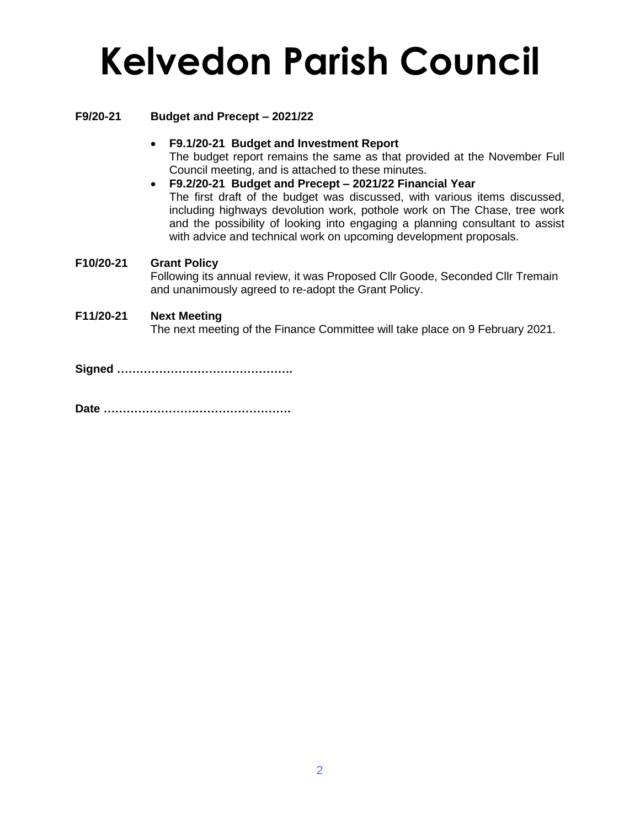#### **F9/20-21 Budget and Precept – 2021/22**

- **F9.1/20-21 Budget and Investment Report** The budget report remains the same as that provided at the November Full Council meeting, and is attached to these minutes.
- **F9.2/20-21 Budget and Precept – 2021/22 Financial Year** The first draft of the budget was discussed, with various items discussed, including highways devolution work, pothole work on The Chase, tree work and the possibility of looking into engaging a planning consultant to assist with advice and technical work on upcoming development proposals.

#### **F10/20-21 Grant Policy**

Following its annual review, it was Proposed Cllr Goode, Seconded Cllr Tremain and unanimously agreed to re-adopt the Grant Policy.

#### **F11/20-21 Next Meeting**

The next meeting of the Finance Committee will take place on 9 February 2021.

**Signed ……………………………………….**

**Date ………………………………………….**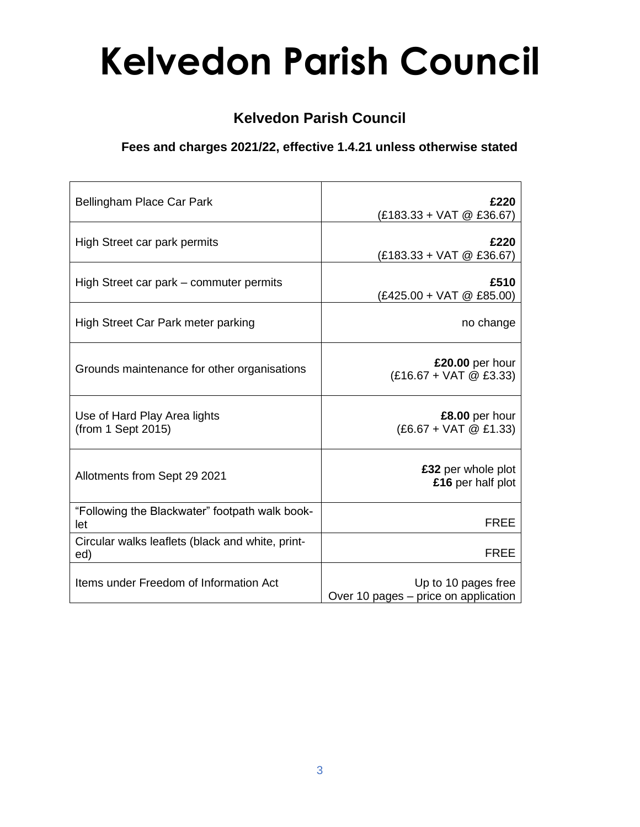### **Kelvedon Parish Council**

### **Fees and charges 2021/22, effective 1.4.21 unless otherwise stated**

| Bellingham Place Car Park                               | £220                                                        |
|---------------------------------------------------------|-------------------------------------------------------------|
|                                                         | $(E183.33 + VAT \& E36.67)$                                 |
| High Street car park permits                            | £220<br>$(E183.33 + VAT \& E36.67)$                         |
| High Street car park – commuter permits                 | £510<br>$(E425.00 + VAT \& E85.00)$                         |
| High Street Car Park meter parking                      | no change                                                   |
| Grounds maintenance for other organisations             | £20.00 per hour<br>$(E16.67 + VAT \& E3.33)$                |
| Use of Hard Play Area lights<br>(from 1 Sept 2015)      | £8.00 per hour<br>$(£6.67 + VAT @ £1.33)$                   |
| Allotments from Sept 29 2021                            | £32 per whole plot<br>£16 per half plot                     |
| "Following the Blackwater" footpath walk book-<br>let   | <b>FREE</b>                                                 |
| Circular walks leaflets (black and white, print-<br>ed) | <b>FREE</b>                                                 |
| Items under Freedom of Information Act                  | Up to 10 pages free<br>Over 10 pages - price on application |